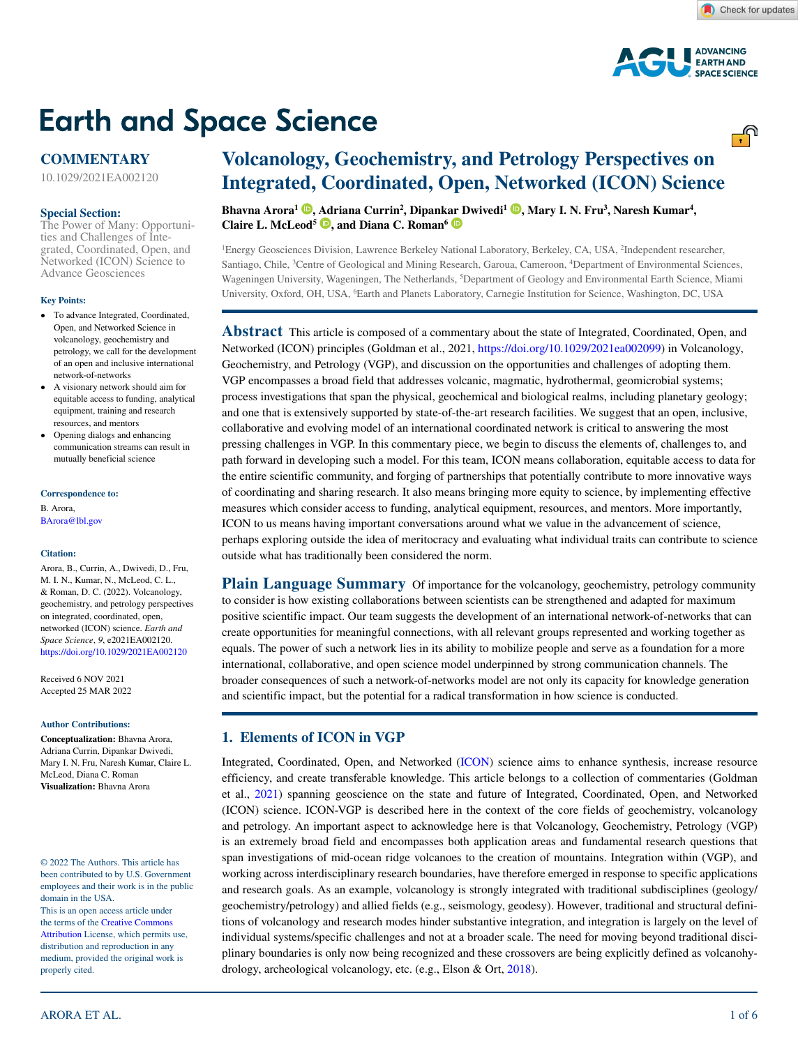<u>್.</u>ಗಿ



# **Earth and Space Science**

# **COMMENTARY**

10.1029/2021EA002120

### **Special Section:**

[The Power of Many: Opportuni](http://agupubs.onlinelibrary.wiley.com/doi/toc/10.1002/(ISSN)2333-5084.ICON)[ties and Challenges of Inte](http://agupubs.onlinelibrary.wiley.com/doi/toc/10.1002/(ISSN)2333-5084.ICON)[grated, Coordinated, Open, and](http://agupubs.onlinelibrary.wiley.com/doi/toc/10.1002/(ISSN)2333-5084.ICON)  [Networked \(ICON\) Science to](http://agupubs.onlinelibrary.wiley.com/doi/toc/10.1002/(ISSN)2333-5084.ICON)  [Advance Geosciences](http://agupubs.onlinelibrary.wiley.com/doi/toc/10.1002/(ISSN)2333-5084.ICON)

- To advance Integrated, Coordinated, Open, and Networked Science in volcanology, geochemistry and petrology, we call for the development of an open and inclusive international network-of-networks
- A visionary network should aim for equitable access to funding, analytical equipment, training and research resources, and mentors
- Opening dialogs and enhancing communication streams can result in mutually beneficial science

#### **Correspondence to:**

B. Arora, BArora@lbl.gov

### **Citation:**

Arora, B., Currin, A., Dwivedi, D., Fru, M. I. N., Kumar, N., McLeod, C. L., & Roman, D. C. (2022). Volcanology, geochemistry, and petrology perspectives on integrated, coordinated, open, networked (ICON) science. *Earth and Space Science*, *9*, e2021EA002120. <https://doi.org/10.1029/2021EA002120>

Received 6 NOV 2021 Accepted 25 MAR 2022

### **Author Contributions:**

**Conceptualization:** Bhavna Arora, Adriana Currin, Dipankar Dwivedi, Mary I. N. Fru, Naresh Kumar, Claire L. McLeod, Diana C. Roman **Visualization:** Bhavna Arora

© 2022 The Authors. This article has been contributed to by U.S. Government employees and their work is in the public domain in the USA.

This is an open access article under the terms of the [Creative Commons](http://creativecommons.org/licenses/by/4.0/)  [Attribution](http://creativecommons.org/licenses/by/4.0/) License, which permits use, distribution and reproduction in any medium, provided the original work is properly cited.

# **Volcanology, Geochemistry, and Petrology Perspectives on Integrated, Coordinated, Open, Networked (ICON) Science**

**Bhavna Arora1 [,](https://orcid.org/0000-0001-7841-886X) [Ad](https://orcid.org/0000-0001-8212-2287)riana Currin<sup>2</sup> , Dipank[ar D](https://orcid.org/0000-0003-1282-5803)wivedi<sup>1</sup> [,](https://orcid.org/0000-0003-1788-1900) Mary I. N. Fru3 , Naresh Kumar4 ,** Claire L. McLeod<sup>5</sup> **D**, and Diana C. Roman<sup>6</sup> **D** 

1 Energy Geosciences Division, Lawrence Berkeley National Laboratory, Berkeley, CA, USA, 2 Independent researcher, Santiago, Chile, <sup>3</sup>Centre of Geological and Mining Research, Garoua, Cameroon, <sup>4</sup>Department of Environmental Sciences, Wageningen University, Wageningen, The Netherlands, <sup>5</sup>Department of Geology and Environmental Earth Science, Miami University, Oxford, OH, USA, <sup>6</sup>Earth and Planets Laboratory, Carnegie Institution for Science, Washington, DC, USA<br>**Key Points:** 

> **Abstract** This article is composed of a commentary about the state of Integrated, Coordinated, Open, and Networked (ICON) principles (Goldman et al., 2021, [https://doi.org/10.1029/2021ea002099\)](https://doi.org/10.1029/2021ea002099) in Volcanology, Geochemistry, and Petrology (VGP), and discussion on the opportunities and challenges of adopting them. VGP encompasses a broad field that addresses volcanic, magmatic, hydrothermal, geomicrobial systems; process investigations that span the physical, geochemical and biological realms, including planetary geology; and one that is extensively supported by state-of-the-art research facilities. We suggest that an open, inclusive, collaborative and evolving model of an international coordinated network is critical to answering the most pressing challenges in VGP. In this commentary piece, we begin to discuss the elements of, challenges to, and path forward in developing such a model. For this team, ICON means collaboration, equitable access to data for the entire scientific community, and forging of partnerships that potentially contribute to more innovative ways of coordinating and sharing research. It also means bringing more equity to science, by implementing effective measures which consider access to funding, analytical equipment, resources, and mentors. More importantly, ICON to us means having important conversations around what we value in the advancement of science, perhaps exploring outside the idea of meritocracy and evaluating what individual traits can contribute to science outside what has traditionally been considered the norm.

> **Plain Language Summary** Of importance for the volcanology, geochemistry, petrology community to consider is how existing collaborations between scientists can be strengthened and adapted for maximum positive scientific impact. Our team suggests the development of an international network-of-networks that can create opportunities for meaningful connections, with all relevant groups represented and working together as equals. The power of such a network lies in its ability to mobilize people and serve as a foundation for a more international, collaborative, and open science model underpinned by strong communication channels. The broader consequences of such a network-of-networks model are not only its capacity for knowledge generation and scientific impact, but the potential for a radical transformation in how science is conducted.

## **1. Elements of ICON in VGP**

Integrated, Coordinated, Open, and Networked ([ICON\)](https://agupubs.onlinelibrary.wiley.com/doi/toc/10.1002/(ISSN)2333-5084.ICON) science aims to enhance synthesis, increase resource efficiency, and create transferable knowledge. This article belongs to a collection of commentaries (Goldman et al., [2021\)](#page-5-0) spanning geoscience on the state and future of Integrated, Coordinated, Open, and Networked (ICON) science. ICON-VGP is described here in the context of the core fields of geochemistry, volcanology and petrology. An important aspect to acknowledge here is that Volcanology, Geochemistry, Petrology (VGP) is an extremely broad field and encompasses both application areas and fundamental research questions that span investigations of mid-ocean ridge volcanoes to the creation of mountains. Integration within (VGP), and working across interdisciplinary research boundaries, have therefore emerged in response to specific applications and research goals. As an example, volcanology is strongly integrated with traditional subdisciplines (geology/ geochemistry/petrology) and allied fields (e.g., seismology, geodesy). However, traditional and structural definitions of volcanology and research modes hinder substantive integration, and integration is largely on the level of individual systems/specific challenges and not at a broader scale. The need for moving beyond traditional disciplinary boundaries is only now being recognized and these crossovers are being explicitly defined as volcanohydrology, archeological volcanology, etc. (e.g., Elson & Ort, [2018](#page-5-1)).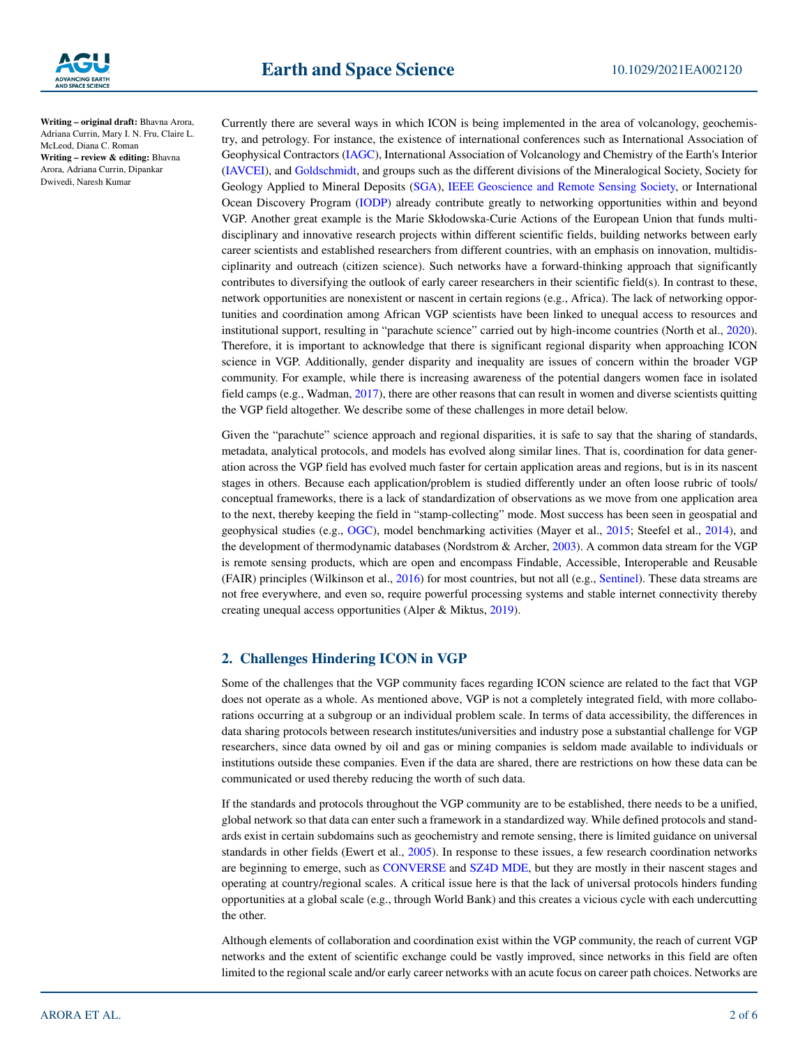

**Writing – original draft:** Bhavna Arora, Adriana Currin, Mary I. N. Fru, Claire L. McLeod, Diana C. Roman **Writing – review & editing:** Bhavna Arora, Adriana Currin, Dipankar Dwivedi, Naresh Kumar

Currently there are several ways in which ICON is being implemented in the area of volcanology, geochemistry, and petrology. For instance, the existence of international conferences such as International Association of Geophysical Contractors ([IAGC](https://iagc.org/events/iagc-annual-conference/)), International Association of Volcanology and Chemistry of the Earth's Interior ([IAVCEI](https://www.iavceivolcano.org/)), and [Goldschmidt](https://www.geochemsoc.org/), and groups such as the different divisions of the Mineralogical Society, Society for Geology Applied to Mineral Deposits [\(SGA](https://e-sga.org/home/)), [IEEE Geoscience and Remote Sensing Society,](https://www.grss-ieee.org/) or International Ocean Discovery Program ([IODP\)](https://www.iodp.org/) already contribute greatly to networking opportunities within and beyond VGP. Another great example is the Marie Skłodowska-Curie Actions of the European Union that funds multidisciplinary and innovative research projects within different scientific fields, building networks between early career scientists and established researchers from different countries, with an emphasis on innovation, multidisciplinarity and outreach (citizen science). Such networks have a forward-thinking approach that significantly contributes to diversifying the outlook of early career researchers in their scientific field(s). In contrast to these, network opportunities are nonexistent or nascent in certain regions (e.g., Africa). The lack of networking opportunities and coordination among African VGP scientists have been linked to unequal access to resources and institutional support, resulting in "parachute science" carried out by high-income countries (North et al., [2020](#page-5-2)). Therefore, it is important to acknowledge that there is significant regional disparity when approaching ICON science in VGP. Additionally, gender disparity and inequality are issues of concern within the broader VGP community. For example, while there is increasing awareness of the potential dangers women face in isolated field camps (e.g., Wadman, [2017](#page-5-3)), there are other reasons that can result in women and diverse scientists quitting the VGP field altogether. We describe some of these challenges in more detail below.

Given the "parachute" science approach and regional disparities, it is safe to say that the sharing of standards, metadata, analytical protocols, and models has evolved along similar lines. That is, coordination for data generation across the VGP field has evolved much faster for certain application areas and regions, but is in its nascent stages in others. Because each application/problem is studied differently under an often loose rubric of tools/ conceptual frameworks, there is a lack of standardization of observations as we move from one application area to the next, thereby keeping the field in "stamp-collecting" mode. Most success has been seen in geospatial and geophysical studies (e.g., [OGC\)](https://www.ogc.org/), model benchmarking activities (Mayer et al., [2015;](#page-5-4) Steefel et al., [2014](#page-5-5)), and the development of thermodynamic databases (Nordstrom & Archer, [2003](#page-5-6)). A common data stream for the VGP is remote sensing products, which are open and encompass Findable, Accessible, Interoperable and Reusable (FAIR) principles (Wilkinson et al., [2016](#page-5-7)) for most countries, but not all (e.g., [Sentinel\)](https://sentinel.esa.int/web/sentinel/missions/sentinel-2). These data streams are not free everywhere, and even so, require powerful processing systems and stable internet connectivity thereby creating unequal access opportunities (Alper & Miktus, [2019](#page-4-0)).

# **2. Challenges Hindering ICON in VGP**

Some of the challenges that the VGP community faces regarding ICON science are related to the fact that VGP does not operate as a whole. As mentioned above, VGP is not a completely integrated field, with more collaborations occurring at a subgroup or an individual problem scale. In terms of data accessibility, the differences in data sharing protocols between research institutes/universities and industry pose a substantial challenge for VGP researchers, since data owned by oil and gas or mining companies is seldom made available to individuals or institutions outside these companies. Even if the data are shared, there are restrictions on how these data can be communicated or used thereby reducing the worth of such data.

If the standards and protocols throughout the VGP community are to be established, there needs to be a unified, global network so that data can enter such a framework in a standardized way. While defined protocols and standards exist in certain subdomains such as geochemistry and remote sensing, there is limited guidance on universal standards in other fields (Ewert et al., [2005](#page-5-8)). In response to these issues, a few research coordination networks are beginning to emerge, such as [CONVERSE](https://volcanoresponse.org/) and [SZ4D MDE,](https://www.sz4d.org/volcanoes) but they are mostly in their nascent stages and operating at country/regional scales. A critical issue here is that the lack of universal protocols hinders funding opportunities at a global scale (e.g., through World Bank) and this creates a vicious cycle with each undercutting the other.

Although elements of collaboration and coordination exist within the VGP community, the reach of current VGP networks and the extent of scientific exchange could be vastly improved, since networks in this field are often limited to the regional scale and/or early career networks with an acute focus on career path choices. Networks are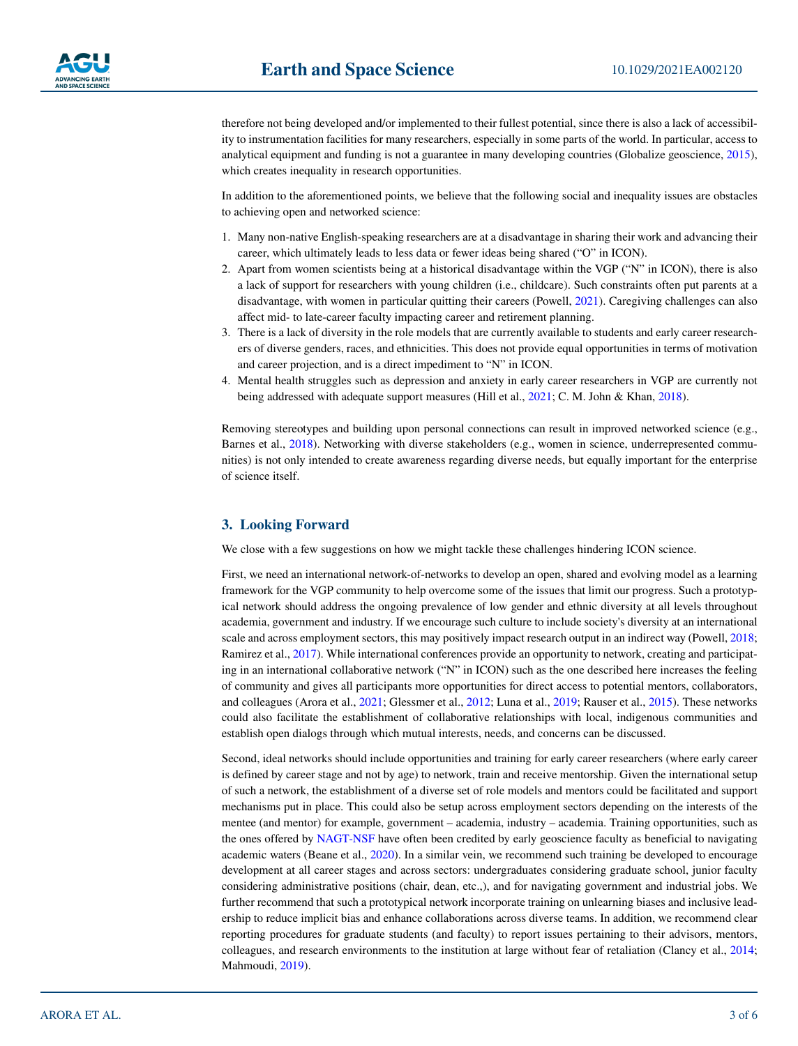therefore not being developed and/or implemented to their fullest potential, since there is also a lack of accessibility to instrumentation facilities for many researchers, especially in some parts of the world. In particular, access to analytical equipment and funding is not a guarantee in many developing countries (Globalize geoscience, [2015](#page-5-9)), which creates inequality in research opportunities.

In addition to the aforementioned points, we believe that the following social and inequality issues are obstacles to achieving open and networked science:

- 1. Many non-native English-speaking researchers are at a disadvantage in sharing their work and advancing their career, which ultimately leads to less data or fewer ideas being shared ("O" in ICON).
- 2. Apart from women scientists being at a historical disadvantage within the VGP ("N" in ICON), there is also a lack of support for researchers with young children (i.e., childcare). Such constraints often put parents at a disadvantage, with women in particular quitting their careers (Powell, [2021](#page-5-10)). Caregiving challenges can also affect mid- to late-career faculty impacting career and retirement planning.
- 3. There is a lack of diversity in the role models that are currently available to students and early career researchers of diverse genders, races, and ethnicities. This does not provide equal opportunities in terms of motivation and career projection, and is a direct impediment to "N" in ICON.
- 4. Mental health struggles such as depression and anxiety in early career researchers in VGP are currently not being addressed with adequate support measures (Hill et al., [2021;](#page-5-11) C. M. John & Khan, [2018\)](#page-5-12).

Removing stereotypes and building upon personal connections can result in improved networked science (e.g., Barnes et al., [2018\)](#page-4-1). Networking with diverse stakeholders (e.g., women in science, underrepresented communities) is not only intended to create awareness regarding diverse needs, but equally important for the enterprise of science itself.

# **3. Looking Forward**

We close with a few suggestions on how we might tackle these challenges hindering ICON science.

First, we need an international network-of-networks to develop an open, shared and evolving model as a learning framework for the VGP community to help overcome some of the issues that limit our progress. Such a prototypical network should address the ongoing prevalence of low gender and ethnic diversity at all levels throughout academia, government and industry. If we encourage such culture to include society's diversity at an international scale and across employment sectors, this may positively impact research output in an indirect way (Powell, [2018;](#page-5-13) Ramirez et al., [2017\)](#page-5-14). While international conferences provide an opportunity to network, creating and participating in an international collaborative network ("N" in ICON) such as the one described here increases the feeling of community and gives all participants more opportunities for direct access to potential mentors, collaborators, and colleagues (Arora et al., [2021;](#page-4-2) Glessmer et al., [2012](#page-5-15); Luna et al., [2019;](#page-5-16) Rauser et al., [2015\)](#page-5-17). These networks could also facilitate the establishment of collaborative relationships with local, indigenous communities and establish open dialogs through which mutual interests, needs, and concerns can be discussed.

Second, ideal networks should include opportunities and training for early career researchers (where early career is defined by career stage and not by age) to network, train and receive mentorship. Given the international setup of such a network, the establishment of a diverse set of role models and mentors could be facilitated and support mechanisms put in place. This could also be setup across employment sectors depending on the interests of the mentee (and mentor) for example, government – academia, industry – academia. Training opportunities, such as the ones offered by [NAGT-NSF](https://nagt.org/index.html) have often been credited by early geoscience faculty as beneficial to navigating academic waters (Beane et al., [2020\)](#page-5-18). In a similar vein, we recommend such training be developed to encourage development at all career stages and across sectors: undergraduates considering graduate school, junior faculty considering administrative positions (chair, dean, etc.,), and for navigating government and industrial jobs. We further recommend that such a prototypical network incorporate training on unlearning biases and inclusive leadership to reduce implicit bias and enhance collaborations across diverse teams. In addition, we recommend clear reporting procedures for graduate students (and faculty) to report issues pertaining to their advisors, mentors, colleagues, and research environments to the institution at large without fear of retaliation (Clancy et al., [2014;](#page-5-19) Mahmoudi, [2019\)](#page-5-20).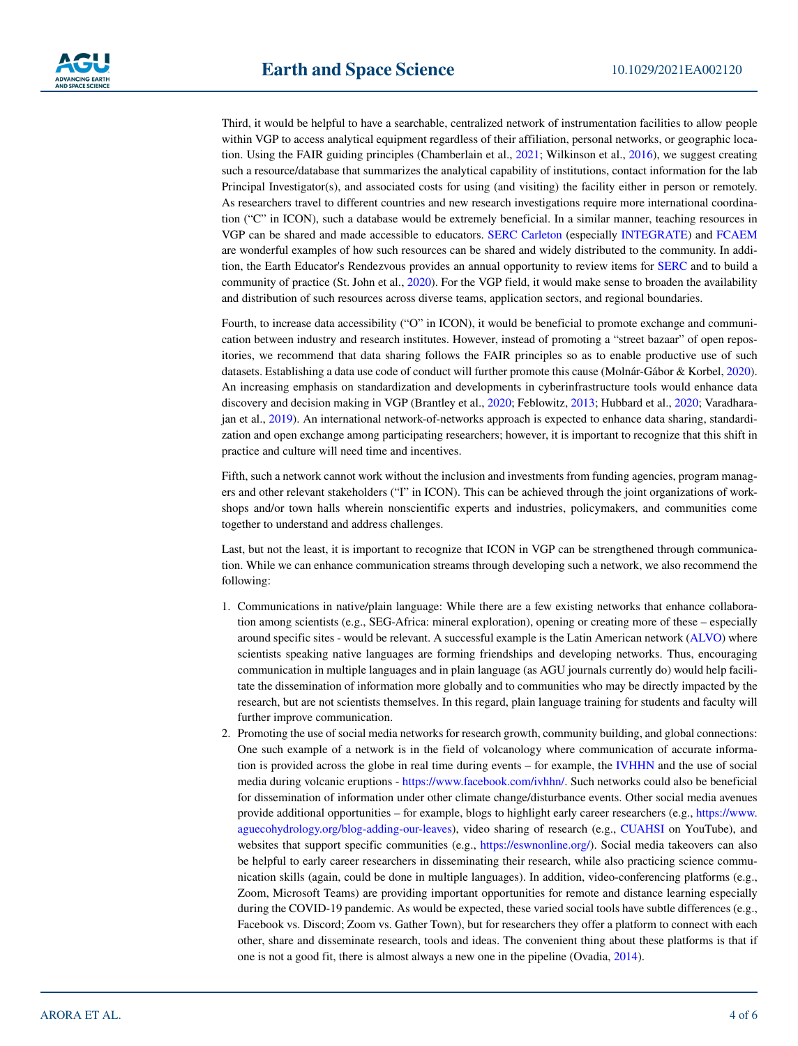Third, it would be helpful to have a searchable, centralized network of instrumentation facilities to allow people within VGP to access analytical equipment regardless of their affiliation, personal networks, or geographic loca-tion. Using the FAIR guiding principles (Chamberlain et al., [2021](#page-5-21); Wilkinson et al., [2016\)](#page-5-7), we suggest creating such a resource/database that summarizes the analytical capability of institutions, contact information for the lab Principal Investigator(s), and associated costs for using (and visiting) the facility either in person or remotely. As researchers travel to different countries and new research investigations require more international coordination ("C" in ICON), such a database would be extremely beneficial. In a similar manner, teaching resources in VGP can be shared and made accessible to educators. [SERC Carleton](https://serc.carleton.edu/teachearth/teach_geo_online/index.html) (especially [INTEGRATE\)](https://serc.carleton.edu/integrate/index.html) and [FCAEM](https://case.fiu.edu/earth-environment/expertise/fcaem/) are wonderful examples of how such resources can be shared and widely distributed to the community. In addition, the Earth Educator's Rendezvous provides an annual opportunity to review items for [SERC](https://serc.carleton.edu/teachearth/teach_geo_online/index.html) and to build a community of practice (St. John et al., [2020\)](#page-5-22). For the VGP field, it would make sense to broaden the availability and distribution of such resources across diverse teams, application sectors, and regional boundaries.

Fourth, to increase data accessibility ("O" in ICON), it would be beneficial to promote exchange and communication between industry and research institutes. However, instead of promoting a "street bazaar" of open repositories, we recommend that data sharing follows the FAIR principles so as to enable productive use of such datasets. Establishing a data use code of conduct will further promote this cause (Molnár-Gábor & Korbel, [2020](#page-5-23)). An increasing emphasis on standardization and developments in cyberinfrastructure tools would enhance data discovery and decision making in VGP (Brantley et al., [2020](#page-5-24); Feblowitz, [2013;](#page-5-25) Hubbard et al., [2020](#page-5-26); Varadharajan et al., [2019\)](#page-5-27). An international network-of-networks approach is expected to enhance data sharing, standardization and open exchange among participating researchers; however, it is important to recognize that this shift in practice and culture will need time and incentives.

Fifth, such a network cannot work without the inclusion and investments from funding agencies, program managers and other relevant stakeholders ("I" in ICON). This can be achieved through the joint organizations of workshops and/or town halls wherein nonscientific experts and industries, policymakers, and communities come together to understand and address challenges.

Last, but not the least, it is important to recognize that ICON in VGP can be strengthened through communication. While we can enhance communication streams through developing such a network, we also recommend the following:

- 1. Communications in native/plain language: While there are a few existing networks that enhance collaboration among scientists (e.g., SEG-Africa: mineral exploration), opening or creating more of these – especially around specific sites - would be relevant. A successful example is the Latin American network ([ALVO\)](https://vhub.org/alvo) where scientists speaking native languages are forming friendships and developing networks. Thus, encouraging communication in multiple languages and in plain language (as AGU journals currently do) would help facilitate the dissemination of information more globally and to communities who may be directly impacted by the research, but are not scientists themselves. In this regard, plain language training for students and faculty will further improve communication.
- 2. Promoting the use of social media networks for research growth, community building, and global connections: One such example of a network is in the field of volcanology where communication of accurate information is provided across the globe in real time during events – for example, the [IVHHN](https://www.ivhhn.org/home) and the use of social media during volcanic eruptions -<https://www.facebook.com/ivhhn/>. Such networks could also be beneficial for dissemination of information under other climate change/disturbance events. Other social media avenues provide additional opportunities – for example, blogs to highlight early career researchers (e.g., [https://www.](https://www.aguecohydrology.org/blog-adding-our-leaves) [aguecohydrology.org/blog-adding-our-leaves](https://www.aguecohydrology.org/blog-adding-our-leaves)), video sharing of research (e.g., [CUAHSI](https://www.youtube.com/user/CUAHSI) on YouTube), and websites that support specific communities (e.g., <https://eswnonline.org/>). Social media takeovers can also be helpful to early career researchers in disseminating their research, while also practicing science communication skills (again, could be done in multiple languages). In addition, video-conferencing platforms (e.g., Zoom, Microsoft Teams) are providing important opportunities for remote and distance learning especially during the COVID-19 pandemic. As would be expected, these varied social tools have subtle differences (e.g., Facebook vs. Discord; Zoom vs. Gather Town), but for researchers they offer a platform to connect with each other, share and disseminate research, tools and ideas. The convenient thing about these platforms is that if one is not a good fit, there is almost always a new one in the pipeline (Ovadia, [2014](#page-5-28)).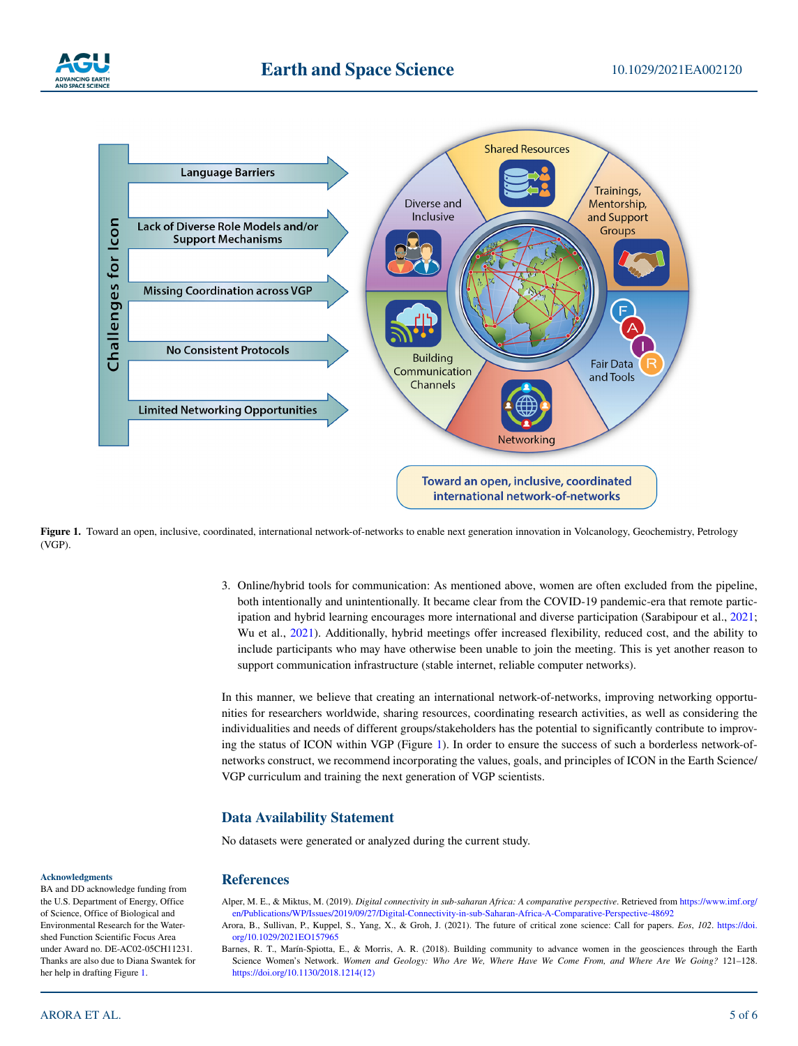



<span id="page-4-3"></span>Figure 1. Toward an open, inclusive, coordinated, international network-of-networks to enable next generation innovation in Volcanology, Geochemistry, Petrology (VGP).

> 3. Online/hybrid tools for communication: As mentioned above, women are often excluded from the pipeline, both intentionally and unintentionally. It became clear from the COVID-19 pandemic-era that remote participation and hybrid learning encourages more international and diverse participation (Sarabipour et al., [2021;](#page-5-29) Wu et al., [2021\)](#page-5-30). Additionally, hybrid meetings offer increased flexibility, reduced cost, and the ability to include participants who may have otherwise been unable to join the meeting. This is yet another reason to support communication infrastructure (stable internet, reliable computer networks).

> In this manner, we believe that creating an international network-of-networks, improving networking opportunities for researchers worldwide, sharing resources, coordinating research activities, as well as considering the individualities and needs of different groups/stakeholders has the potential to significantly contribute to improving the status of ICON within VGP (Figure [1](#page-4-3)). In order to ensure the success of such a borderless network-ofnetworks construct, we recommend incorporating the values, goals, and principles of ICON in the Earth Science/ VGP curriculum and training the next generation of VGP scientists.

# **Data Availability Statement**

No datasets were generated or analyzed during the current study.

### **References**

- <span id="page-4-0"></span>Alper, M. E., & Miktus, M. (2019). *Digital connectivity in sub-saharan Africa: A comparative perspective*. Retrieved from [https://www.imf.org/](https://www.imf.org/en/Publications/WP/Issues/2019/09/27/Digital-Connectivity-in-sub-Saharan-Africa-A-Comparative-Perspective-48692) [en/Publications/WP/Issues/2019/09/27/Digital-Connectivity-in-sub-Saharan-Africa-A-Comparative-Perspective-48692](https://www.imf.org/en/Publications/WP/Issues/2019/09/27/Digital-Connectivity-in-sub-Saharan-Africa-A-Comparative-Perspective-48692)
- <span id="page-4-2"></span>Arora, B., Sullivan, P., Kuppel, S., Yang, X., & Groh, J. (2021). The future of critical zone science: Call for papers. *Eos*, *102*. [https://doi.](https://doi.org/10.1029/2021EO157965) [org/10.1029/2021EO157965](https://doi.org/10.1029/2021EO157965)
- <span id="page-4-1"></span>Barnes, R. T., Marín-Spiotta, E., & Morris, A. R. (2018). Building community to advance women in the geosciences through the Earth Science Women's Network. *Women and Geology: Who Are We, Where Have We Come From, and Where Are We Going?* 121–128. [https://doi.org/10.1130/2018.1214\(12\)](https://doi.org/10.1130/2018.1214(12))

### **Acknowledgments**

BA and DD acknowledge funding from the U.S. Department of Energy, Office of Science, Office of Biological and Environmental Research for the Watershed Function Scientific Focus Area under Award no. DE-AC02-05CH11231. Thanks are also due to Diana Swantek for her help in drafting Figure [1.](#page-4-3)